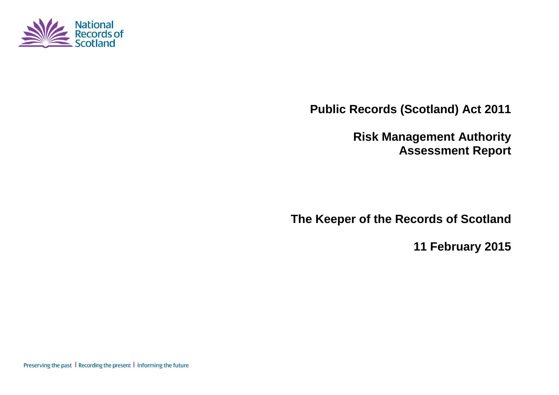

**Public Records (Scotland) Act 2011**

**Risk Management Authority Assessment Report**

**The Keeper of the Records of Scotland**

**11 February 2015**

Preserving the past | Recording the present | Informing the future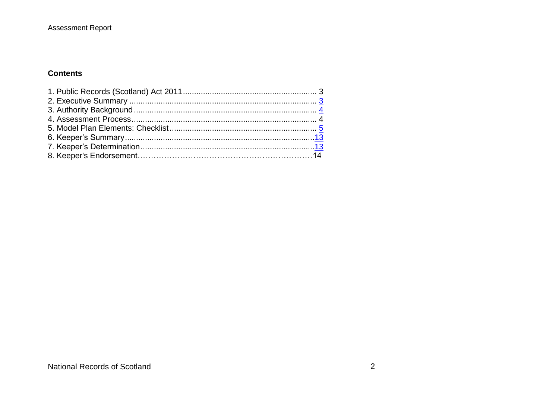#### **Assessment Report**

#### **Contents**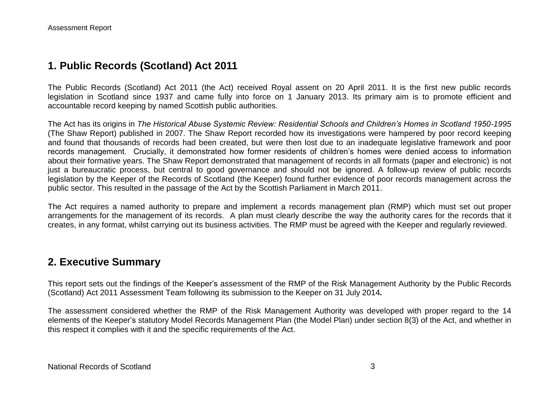## **1. Public Records (Scotland) Act 2011**

The Public Records (Scotland) Act 2011 (the Act) received Royal assent on 20 April 2011. It is the first new public records legislation in Scotland since 1937 and came fully into force on 1 January 2013. Its primary aim is to promote efficient and accountable record keeping by named Scottish public authorities.

The Act has its origins in *The Historical Abuse Systemic Review: Residential Schools and Children's Homes in Scotland 1950-1995* (The Shaw Report) published in 2007. The Shaw Report recorded how its investigations were hampered by poor record keeping and found that thousands of records had been created, but were then lost due to an inadequate legislative framework and poor records management. Crucially, it demonstrated how former residents of children's homes were denied access to information about their formative years. The Shaw Report demonstrated that management of records in all formats (paper and electronic) is not just a bureaucratic process, but central to good governance and should not be ignored. A follow-up review of public records legislation by the Keeper of the Records of Scotland (the Keeper) found further evidence of poor records management across the public sector. This resulted in the passage of the Act by the Scottish Parliament in March 2011.

The Act requires a named authority to prepare and implement a records management plan (RMP) which must set out proper arrangements for the management of its records. A plan must clearly describe the way the authority cares for the records that it creates, in any format, whilst carrying out its business activities. The RMP must be agreed with the Keeper and regularly reviewed.

### **2. Executive Summary**

This report sets out the findings of the Keeper's assessment of the RMP of the Risk Management Authority by the Public Records (Scotland) Act 2011 Assessment Team following its submission to the Keeper on 31 July 2014*.*

The assessment considered whether the RMP of the Risk Management Authority was developed with proper regard to the 14 elements of the Keeper's statutory Model Records Management Plan (the Model Plan) under section 8(3) of the Act, and whether in this respect it complies with it and the specific requirements of the Act.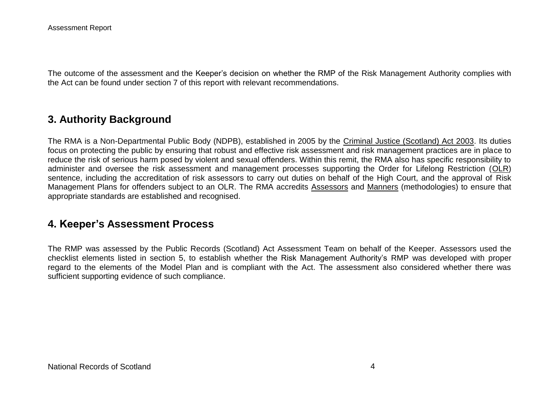The outcome of the assessment and the Keeper's decision on whether the RMP of the Risk Management Authority complies with the Act can be found under section 7 of this report with relevant recommendations.

## **3. Authority Background**

The RMA is a Non-Departmental Public Body (NDPB), established in 2005 by the [Criminal Justice \(Scotland\) Act 2003.](http://www.legislation.gov.uk/asp/2003/7/contents) Its duties focus on protecting the public by ensuring that robust and effective risk assessment and risk management practices are in place to reduce the risk of serious harm posed by violent and sexual offenders. Within this remit, the RMA also has specific responsibility to administer and oversee the risk assessment and management processes supporting the Order for Lifelong Restriction [\(OLR\)](http://www.rmascotland.gov.uk/news-and-information/faq-s/olr/) sentence, including the accreditation of risk assessors to carry out duties on behalf of the High Court, and the approval of Risk Management Plans for offenders subject to an OLR. The RMA accredits [Assessors](http://www.rmascotland.gov.uk/rma-accreditation/accreditation-register/) and [Manners](http://www.rmascotland.gov.uk/rma-accreditation/accreditation-process/manners/) (methodologies) to ensure that appropriate standards are established and recognised.

### **4. Keeper's Assessment Process**

The RMP was assessed by the Public Records (Scotland) Act Assessment Team on behalf of the Keeper. Assessors used the checklist elements listed in section 5, to establish whether the Risk Management Authority's RMP was developed with proper regard to the elements of the Model Plan and is compliant with the Act. The assessment also considered whether there was sufficient supporting evidence of such compliance.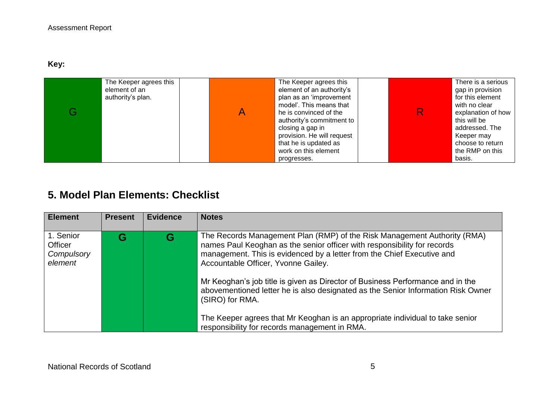**Key:** 

| The Keeper agrees this<br>element of an<br>authority's plan. | The Keeper agrees this<br>element of an authority's<br>plan as an 'improvement<br>model'. This means that<br>he is convinced of the<br>authority's commitment to<br>closing a gap in<br>provision. He will request<br>that he is updated as<br>work on this element | R | There is a serious<br>gap in provision<br>for this element<br>with no clear<br>explanation of how<br>this will be<br>addressed. The<br>Keeper may<br>choose to return<br>the RMP on this |
|--------------------------------------------------------------|---------------------------------------------------------------------------------------------------------------------------------------------------------------------------------------------------------------------------------------------------------------------|---|------------------------------------------------------------------------------------------------------------------------------------------------------------------------------------------|
|                                                              | progresses.                                                                                                                                                                                                                                                         |   | basis.                                                                                                                                                                                   |

# **5. Model Plan Elements: Checklist**

| <b>Element</b>                                | <b>Present</b> | <b>Evidence</b> | <b>Notes</b>                                                                                                                                                                                                                                                          |
|-----------------------------------------------|----------------|-----------------|-----------------------------------------------------------------------------------------------------------------------------------------------------------------------------------------------------------------------------------------------------------------------|
| 1. Senior<br>Officer<br>Compulsory<br>element | G              | G               | The Records Management Plan (RMP) of the Risk Management Authority (RMA)<br>names Paul Keoghan as the senior officer with responsibility for records<br>management. This is evidenced by a letter from the Chief Executive and<br>Accountable Officer, Yvonne Gailey. |
|                                               |                |                 | Mr Keoghan's job title is given as Director of Business Performance and in the<br>abovementioned letter he is also designated as the Senior Information Risk Owner<br>(SIRO) for RMA.                                                                                 |
|                                               |                |                 | The Keeper agrees that Mr Keoghan is an appropriate individual to take senior<br>responsibility for records management in RMA.                                                                                                                                        |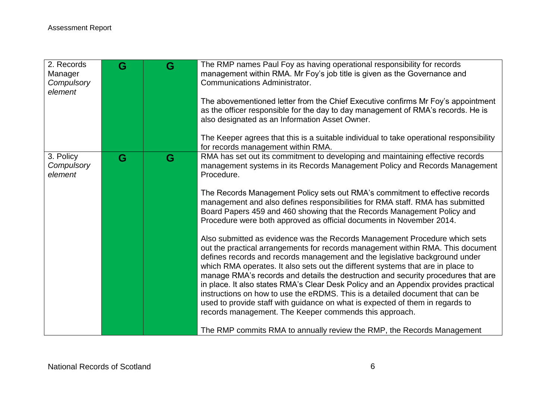| 2. Records<br>Manager              | G | G | The RMP names Paul Foy as having operational responsibility for records<br>management within RMA. Mr Foy's job title is given as the Governance and                                                                                                                                                                                                                                                                                                                                                                                                                                                                                                                                                                                     |
|------------------------------------|---|---|-----------------------------------------------------------------------------------------------------------------------------------------------------------------------------------------------------------------------------------------------------------------------------------------------------------------------------------------------------------------------------------------------------------------------------------------------------------------------------------------------------------------------------------------------------------------------------------------------------------------------------------------------------------------------------------------------------------------------------------------|
| Compulsory<br>element              |   |   | <b>Communications Administrator.</b>                                                                                                                                                                                                                                                                                                                                                                                                                                                                                                                                                                                                                                                                                                    |
|                                    |   |   | The abovementioned letter from the Chief Executive confirms Mr Foy's appointment                                                                                                                                                                                                                                                                                                                                                                                                                                                                                                                                                                                                                                                        |
|                                    |   |   | as the officer responsible for the day to day management of RMA's records. He is<br>also designated as an Information Asset Owner.                                                                                                                                                                                                                                                                                                                                                                                                                                                                                                                                                                                                      |
|                                    |   |   | The Keeper agrees that this is a suitable individual to take operational responsibility<br>for records management within RMA.                                                                                                                                                                                                                                                                                                                                                                                                                                                                                                                                                                                                           |
| 3. Policy<br>Compulsory<br>element | G | G | RMA has set out its commitment to developing and maintaining effective records<br>management systems in its Records Management Policy and Records Management<br>Procedure.                                                                                                                                                                                                                                                                                                                                                                                                                                                                                                                                                              |
|                                    |   |   | The Records Management Policy sets out RMA's commitment to effective records<br>management and also defines responsibilities for RMA staff. RMA has submitted<br>Board Papers 459 and 460 showing that the Records Management Policy and<br>Procedure were both approved as official documents in November 2014.                                                                                                                                                                                                                                                                                                                                                                                                                        |
|                                    |   |   | Also submitted as evidence was the Records Management Procedure which sets<br>out the practical arrangements for records management within RMA. This document<br>defines records and records management and the legislative background under<br>which RMA operates. It also sets out the different systems that are in place to<br>manage RMA's records and details the destruction and security procedures that are<br>in place. It also states RMA's Clear Desk Policy and an Appendix provides practical<br>instructions on how to use the eRDMS. This is a detailed document that can be<br>used to provide staff with guidance on what is expected of them in regards to<br>records management. The Keeper commends this approach. |
|                                    |   |   | The RMP commits RMA to annually review the RMP, the Records Management                                                                                                                                                                                                                                                                                                                                                                                                                                                                                                                                                                                                                                                                  |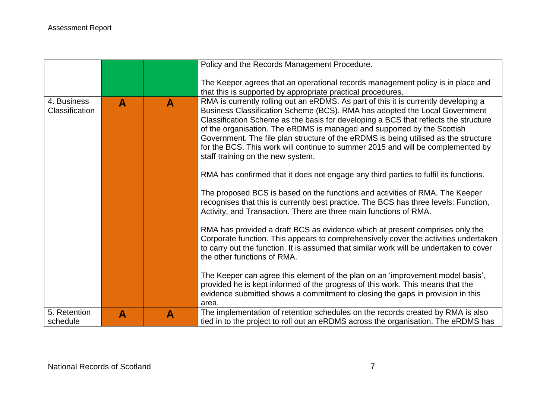|                                      |              |              | Policy and the Records Management Procedure.                                                                                                                                                                                                                                                                                                                                                                                                                                                                                                                                                                                               |
|--------------------------------------|--------------|--------------|--------------------------------------------------------------------------------------------------------------------------------------------------------------------------------------------------------------------------------------------------------------------------------------------------------------------------------------------------------------------------------------------------------------------------------------------------------------------------------------------------------------------------------------------------------------------------------------------------------------------------------------------|
|                                      |              |              | The Keeper agrees that an operational records management policy is in place and<br>that this is supported by appropriate practical procedures.                                                                                                                                                                                                                                                                                                                                                                                                                                                                                             |
| 4. Business<br><b>Classification</b> | $\mathbf{A}$ | $\mathbf{A}$ | RMA is currently rolling out an eRDMS. As part of this it is currently developing a<br>Business Classification Scheme (BCS). RMA has adopted the Local Government<br>Classification Scheme as the basis for developing a BCS that reflects the structure<br>of the organisation. The eRDMS is managed and supported by the Scottish<br>Government. The file plan structure of the eRDMS is being utilised as the structure<br>for the BCS. This work will continue to summer 2015 and will be complemented by<br>staff training on the new system.<br>RMA has confirmed that it does not engage any third parties to fulfil its functions. |
|                                      |              |              | The proposed BCS is based on the functions and activities of RMA. The Keeper<br>recognises that this is currently best practice. The BCS has three levels: Function,<br>Activity, and Transaction. There are three main functions of RMA.                                                                                                                                                                                                                                                                                                                                                                                                  |
|                                      |              |              | RMA has provided a draft BCS as evidence which at present comprises only the<br>Corporate function. This appears to comprehensively cover the activities undertaken<br>to carry out the function. It is assumed that similar work will be undertaken to cover<br>the other functions of RMA.                                                                                                                                                                                                                                                                                                                                               |
|                                      |              |              | The Keeper can agree this element of the plan on an 'improvement model basis',<br>provided he is kept informed of the progress of this work. This means that the<br>evidence submitted shows a commitment to closing the gaps in provision in this<br>area.                                                                                                                                                                                                                                                                                                                                                                                |
| 5. Retention<br>schedule             | A            | $\mathbf{A}$ | The implementation of retention schedules on the records created by RMA is also<br>tied in to the project to roll out an eRDMS across the organisation. The eRDMS has                                                                                                                                                                                                                                                                                                                                                                                                                                                                      |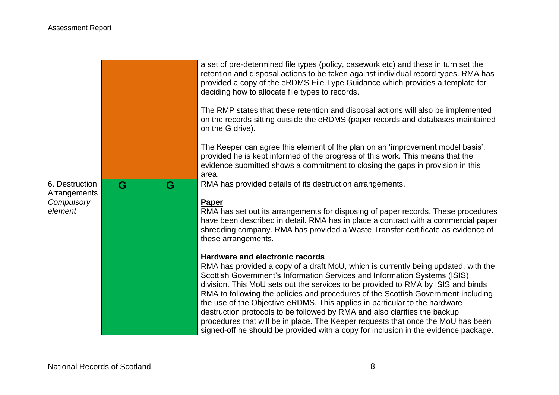|                                                         |   |   | a set of pre-determined file types (policy, casework etc) and these in turn set the<br>retention and disposal actions to be taken against individual record types. RMA has<br>provided a copy of the eRDMS File Type Guidance which provides a template for<br>deciding how to allocate file types to records.<br>The RMP states that these retention and disposal actions will also be implemented<br>on the records sitting outside the eRDMS (paper records and databases maintained<br>on the G drive).<br>The Keeper can agree this element of the plan on an 'improvement model basis',<br>provided he is kept informed of the progress of this work. This means that the<br>evidence submitted shows a commitment to closing the gaps in provision in this<br>area. |
|---------------------------------------------------------|---|---|----------------------------------------------------------------------------------------------------------------------------------------------------------------------------------------------------------------------------------------------------------------------------------------------------------------------------------------------------------------------------------------------------------------------------------------------------------------------------------------------------------------------------------------------------------------------------------------------------------------------------------------------------------------------------------------------------------------------------------------------------------------------------|
| 6. Destruction<br>Arrangements<br>Compulsory<br>element | G | G | RMA has provided details of its destruction arrangements.<br><b>Paper</b><br>RMA has set out its arrangements for disposing of paper records. These procedures<br>have been described in detail. RMA has in place a contract with a commercial paper<br>shredding company. RMA has provided a Waste Transfer certificate as evidence of<br>these arrangements.                                                                                                                                                                                                                                                                                                                                                                                                             |
|                                                         |   |   | <b>Hardware and electronic records</b><br>RMA has provided a copy of a draft MoU, which is currently being updated, with the<br>Scottish Government's Information Services and Information Systems (ISIS)<br>division. This MoU sets out the services to be provided to RMA by ISIS and binds<br>RMA to following the policies and procedures of the Scottish Government including<br>the use of the Objective eRDMS. This applies in particular to the hardware<br>destruction protocols to be followed by RMA and also clarifies the backup<br>procedures that will be in place. The Keeper requests that once the MoU has been<br>signed-off he should be provided with a copy for inclusion in the evidence package.                                                   |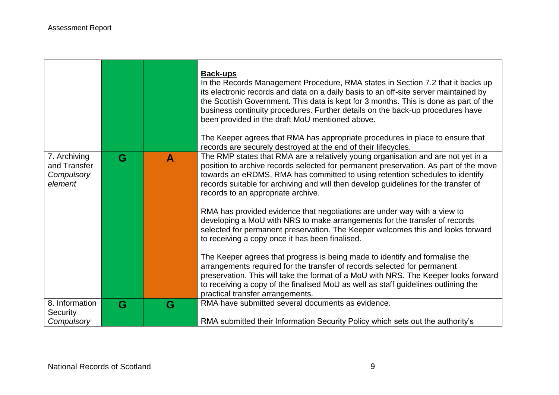and the state of the state of the state of the state of the state of the

**Contract Contract** 

 $\blacksquare$ 

|                                                       |   |              | <b>Back-ups</b><br>In the Records Management Procedure, RMA states in Section 7.2 that it backs up<br>its electronic records and data on a daily basis to an off-site server maintained by<br>the Scottish Government. This data is kept for 3 months. This is done as part of the<br>business continuity procedures. Further details on the back-up procedures have<br>been provided in the draft MoU mentioned above.<br>The Keeper agrees that RMA has appropriate procedures in place to ensure that<br>records are securely destroyed at the end of their lifecycles. |
|-------------------------------------------------------|---|--------------|----------------------------------------------------------------------------------------------------------------------------------------------------------------------------------------------------------------------------------------------------------------------------------------------------------------------------------------------------------------------------------------------------------------------------------------------------------------------------------------------------------------------------------------------------------------------------|
| 7. Archiving<br>and Transfer<br>Compulsory<br>element | G | $\mathbf{A}$ | The RMP states that RMA are a relatively young organisation and are not yet in a<br>position to archive records selected for permanent preservation. As part of the move<br>towards an eRDMS, RMA has committed to using retention schedules to identify<br>records suitable for archiving and will then develop guidelines for the transfer of<br>records to an appropriate archive.                                                                                                                                                                                      |
|                                                       |   |              | RMA has provided evidence that negotiations are under way with a view to<br>developing a MoU with NRS to make arrangements for the transfer of records<br>selected for permanent preservation. The Keeper welcomes this and looks forward<br>to receiving a copy once it has been finalised.                                                                                                                                                                                                                                                                               |
|                                                       |   |              | The Keeper agrees that progress is being made to identify and formalise the<br>arrangements required for the transfer of records selected for permanent<br>preservation. This will take the format of a MoU with NRS. The Keeper looks forward<br>to receiving a copy of the finalised MoU as well as staff guidelines outlining the<br>practical transfer arrangements.                                                                                                                                                                                                   |
| 8. Information<br>Security<br>Compulsory              | G | G            | RMA have submitted several documents as evidence.<br>RMA submitted their Information Security Policy which sets out the authority's                                                                                                                                                                                                                                                                                                                                                                                                                                        |

π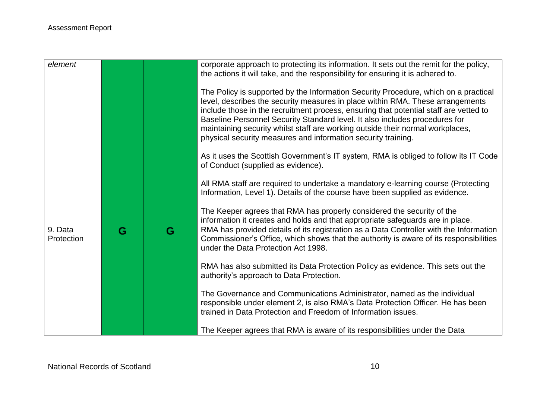| element               |   |   | corporate approach to protecting its information. It sets out the remit for the policy,<br>the actions it will take, and the responsibility for ensuring it is adhered to.                                                                                                                                                                                                                                                                                                                       |
|-----------------------|---|---|--------------------------------------------------------------------------------------------------------------------------------------------------------------------------------------------------------------------------------------------------------------------------------------------------------------------------------------------------------------------------------------------------------------------------------------------------------------------------------------------------|
|                       |   |   | The Policy is supported by the Information Security Procedure, which on a practical<br>level, describes the security measures in place within RMA. These arrangements<br>include those in the recruitment process, ensuring that potential staff are vetted to<br>Baseline Personnel Security Standard level. It also includes procedures for<br>maintaining security whilst staff are working outside their normal workplaces,<br>physical security measures and information security training. |
|                       |   |   | As it uses the Scottish Government's IT system, RMA is obliged to follow its IT Code<br>of Conduct (supplied as evidence).                                                                                                                                                                                                                                                                                                                                                                       |
|                       |   |   | All RMA staff are required to undertake a mandatory e-learning course (Protecting<br>Information, Level 1). Details of the course have been supplied as evidence.                                                                                                                                                                                                                                                                                                                                |
|                       |   |   | The Keeper agrees that RMA has properly considered the security of the<br>information it creates and holds and that appropriate safeguards are in place.                                                                                                                                                                                                                                                                                                                                         |
| 9. Data<br>Protection | G | G | RMA has provided details of its registration as a Data Controller with the Information<br>Commissioner's Office, which shows that the authority is aware of its responsibilities<br>under the Data Protection Act 1998.                                                                                                                                                                                                                                                                          |
|                       |   |   | RMA has also submitted its Data Protection Policy as evidence. This sets out the<br>authority's approach to Data Protection.                                                                                                                                                                                                                                                                                                                                                                     |
|                       |   |   | The Governance and Communications Administrator, named as the individual<br>responsible under element 2, is also RMA's Data Protection Officer. He has been<br>trained in Data Protection and Freedom of Information issues.                                                                                                                                                                                                                                                                     |
|                       |   |   | The Keeper agrees that RMA is aware of its responsibilities under the Data                                                                                                                                                                                                                                                                                                                                                                                                                       |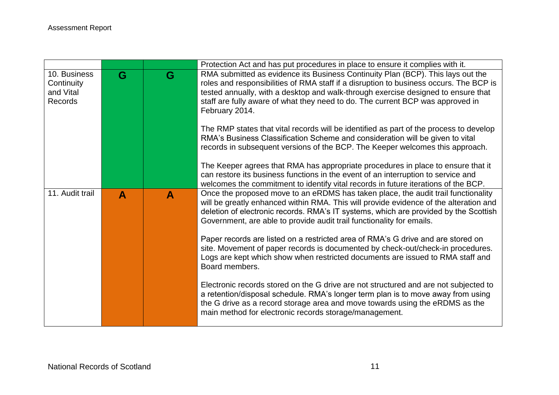|                                                    |   |   | Protection Act and has put procedures in place to ensure it complies with it.                                                                                                                                                                                                                                                                                      |
|----------------------------------------------------|---|---|--------------------------------------------------------------------------------------------------------------------------------------------------------------------------------------------------------------------------------------------------------------------------------------------------------------------------------------------------------------------|
| 10. Business<br>Continuity<br>and Vital<br>Records | G | G | RMA submitted as evidence its Business Continuity Plan (BCP). This lays out the<br>roles and responsibilities of RMA staff if a disruption to business occurs. The BCP is<br>tested annually, with a desktop and walk-through exercise designed to ensure that<br>staff are fully aware of what they need to do. The current BCP was approved in<br>February 2014. |
|                                                    |   |   | The RMP states that vital records will be identified as part of the process to develop<br>RMA's Business Classification Scheme and consideration will be given to vital<br>records in subsequent versions of the BCP. The Keeper welcomes this approach.                                                                                                           |
|                                                    |   |   | The Keeper agrees that RMA has appropriate procedures in place to ensure that it<br>can restore its business functions in the event of an interruption to service and<br>welcomes the commitment to identify vital records in future iterations of the BCP.                                                                                                        |
| 11. Audit trail                                    | A | A | Once the proposed move to an eRDMS has taken place, the audit trail functionality<br>will be greatly enhanced within RMA. This will provide evidence of the alteration and<br>deletion of electronic records. RMA's IT systems, which are provided by the Scottish<br>Government, are able to provide audit trail functionality for emails.                        |
|                                                    |   |   | Paper records are listed on a restricted area of RMA's G drive and are stored on<br>site. Movement of paper records is documented by check-out/check-in procedures.<br>Logs are kept which show when restricted documents are issued to RMA staff and<br>Board members.                                                                                            |
|                                                    |   |   | Electronic records stored on the G drive are not structured and are not subjected to<br>a retention/disposal schedule. RMA's longer term plan is to move away from using<br>the G drive as a record storage area and move towards using the eRDMS as the<br>main method for electronic records storage/management.                                                 |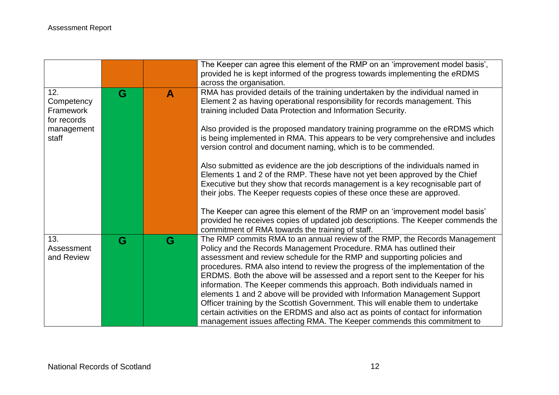|                                               |   |              | The Keeper can agree this element of the RMP on an 'improvement model basis',<br>provided he is kept informed of the progress towards implementing the eRDMS<br>across the organisation.                                                                                                                                                                                                                                                                                                                                                                                                                                                                                                                                                                                                                        |
|-----------------------------------------------|---|--------------|-----------------------------------------------------------------------------------------------------------------------------------------------------------------------------------------------------------------------------------------------------------------------------------------------------------------------------------------------------------------------------------------------------------------------------------------------------------------------------------------------------------------------------------------------------------------------------------------------------------------------------------------------------------------------------------------------------------------------------------------------------------------------------------------------------------------|
| 12.<br>Competency<br>Framework<br>for records | G | $\mathbf{A}$ | RMA has provided details of the training undertaken by the individual named in<br>Element 2 as having operational responsibility for records management. This<br>training included Data Protection and Information Security.                                                                                                                                                                                                                                                                                                                                                                                                                                                                                                                                                                                    |
| management<br>staff                           |   |              | Also provided is the proposed mandatory training programme on the eRDMS which<br>is being implemented in RMA. This appears to be very comprehensive and includes<br>version control and document naming, which is to be commended.                                                                                                                                                                                                                                                                                                                                                                                                                                                                                                                                                                              |
|                                               |   |              | Also submitted as evidence are the job descriptions of the individuals named in<br>Elements 1 and 2 of the RMP. These have not yet been approved by the Chief<br>Executive but they show that records management is a key recognisable part of<br>their jobs. The Keeper requests copies of these once these are approved.                                                                                                                                                                                                                                                                                                                                                                                                                                                                                      |
|                                               |   |              | The Keeper can agree this element of the RMP on an 'improvement model basis'<br>provided he receives copies of updated job descriptions. The Keeper commends the<br>commitment of RMA towards the training of staff.                                                                                                                                                                                                                                                                                                                                                                                                                                                                                                                                                                                            |
| 13.<br>Assessment<br>and Review               | G | G            | The RMP commits RMA to an annual review of the RMP, the Records Management<br>Policy and the Records Management Procedure. RMA has outlined their<br>assessment and review schedule for the RMP and supporting policies and<br>procedures. RMA also intend to review the progress of the implementation of the<br>ERDMS. Both the above will be assessed and a report sent to the Keeper for his<br>information. The Keeper commends this approach. Both individuals named in<br>elements 1 and 2 above will be provided with Information Management Support<br>Officer training by the Scottish Government. This will enable them to undertake<br>certain activities on the ERDMS and also act as points of contact for information<br>management issues affecting RMA. The Keeper commends this commitment to |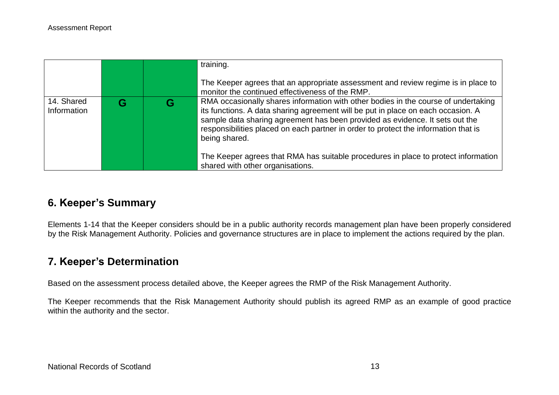|                           |  | training.<br>The Keeper agrees that an appropriate assessment and review regime is in place to<br>monitor the continued effectiveness of the RMP.                                                                                                                                                                                                                                                                                                                                        |
|---------------------------|--|------------------------------------------------------------------------------------------------------------------------------------------------------------------------------------------------------------------------------------------------------------------------------------------------------------------------------------------------------------------------------------------------------------------------------------------------------------------------------------------|
| 14. Shared<br>Information |  | RMA occasionally shares information with other bodies in the course of undertaking<br>its functions. A data sharing agreement will be put in place on each occasion. A<br>sample data sharing agreement has been provided as evidence. It sets out the<br>responsibilities placed on each partner in order to protect the information that is<br>being shared.<br>The Keeper agrees that RMA has suitable procedures in place to protect information<br>shared with other organisations. |

## **6. Keeper's Summary**

Elements 1-14 that the Keeper considers should be in a public authority records management plan have been properly considered by the Risk Management Authority. Policies and governance structures are in place to implement the actions required by the plan.

## **7. Keeper's Determination**

Based on the assessment process detailed above, the Keeper agrees the RMP of the Risk Management Authority.

The Keeper recommends that the Risk Management Authority should publish its agreed RMP as an example of good practice within the authority and the sector.